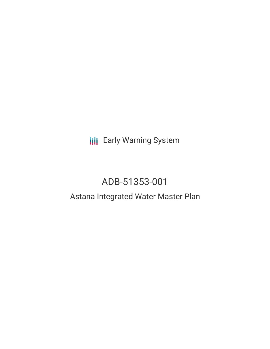**III** Early Warning System

# ADB-51353-001

# Astana Integrated Water Master Plan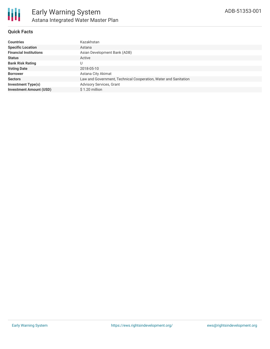

## **Quick Facts**

| <b>Countries</b>               | Kazakhstan                                                      |
|--------------------------------|-----------------------------------------------------------------|
| <b>Specific Location</b>       | Astana                                                          |
| <b>Financial Institutions</b>  | Asian Development Bank (ADB)                                    |
| <b>Status</b>                  | Active                                                          |
| <b>Bank Risk Rating</b>        | U                                                               |
| <b>Voting Date</b>             | 2018-05-10                                                      |
| <b>Borrower</b>                | Astana City Akimat                                              |
| <b>Sectors</b>                 | Law and Government, Technical Cooperation, Water and Sanitation |
| <b>Investment Type(s)</b>      | <b>Advisory Services, Grant</b>                                 |
| <b>Investment Amount (USD)</b> | \$1.20 million                                                  |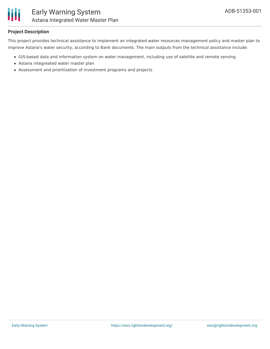

## **Project Description**

This project provides technical assistance to implement an integrated water resources management policy and master plan to improve Astana's water security, according to Bank documents. The main outputs from the technical assistance include:

- GIS-based data and information system on water management, including use of satellite and remote sensing
- Astana integreated water master plan
- Assessment and priortiization of investment programs and projects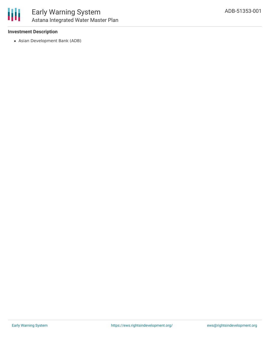

#### **Investment Description**

Asian Development Bank (ADB)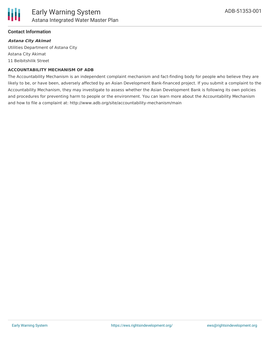

#### **Contact Information**

#### **Astana City Akimat**

Utilities Department of Astana City Astana City Akimat 11 Beibitshilik Street

#### **ACCOUNTABILITY MECHANISM OF ADB**

The Accountability Mechanism is an independent complaint mechanism and fact-finding body for people who believe they are likely to be, or have been, adversely affected by an Asian Development Bank-financed project. If you submit a complaint to the Accountability Mechanism, they may investigate to assess whether the Asian Development Bank is following its own policies and procedures for preventing harm to people or the environment. You can learn more about the Accountability Mechanism and how to file a complaint at: http://www.adb.org/site/accountability-mechanism/main